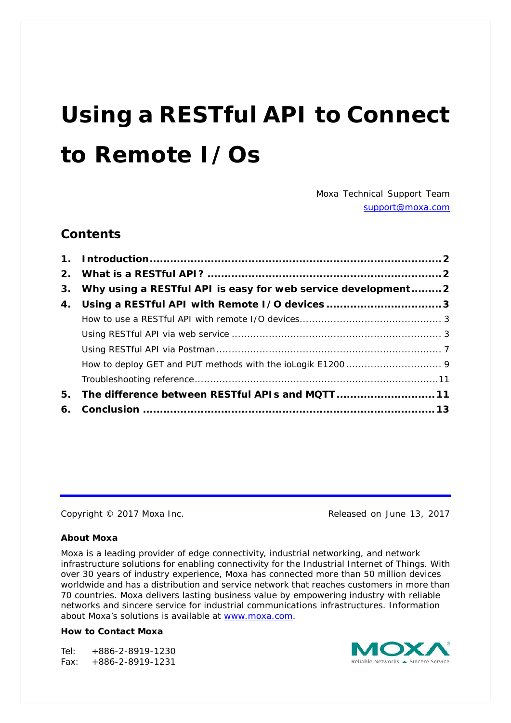# **Using a RESTful API to Connect to Remote I/Os**

*Moxa Technical Support Team [support@moxa.com](mailto:support@moxa.com)*

#### **Contents**

|    | 3. Why using a RESTful API is easy for web service development 2 |  |
|----|------------------------------------------------------------------|--|
|    | 4. Using a RESTful API with Remote I/O devices 3                 |  |
|    |                                                                  |  |
|    |                                                                  |  |
|    |                                                                  |  |
|    |                                                                  |  |
|    |                                                                  |  |
| 5. | The difference between RESTful APIs and MQTT 11                  |  |
|    |                                                                  |  |

Copyright © 2017 Moxa Inc. Copyright © 2017 Moxa Inc.

#### **About Moxa**

Moxa is a leading provider of edge connectivity, industrial networking, and network infrastructure solutions for enabling connectivity for the Industrial Internet of Things. With over 30 years of industry experience, Moxa has connected more than 50 million devices worldwide and has a distribution and service network that reaches customers in more than 70 countries. Moxa delivers lasting business value by empowering industry with reliable networks and sincere service for industrial communications infrastructures. Information about Moxa's solutions is available at [www.moxa.com.](http://www.moxa.com/)

#### **How to Contact Moxa**

Tel: +886-2-8919-1230 Fax: +886-2-8919-1231

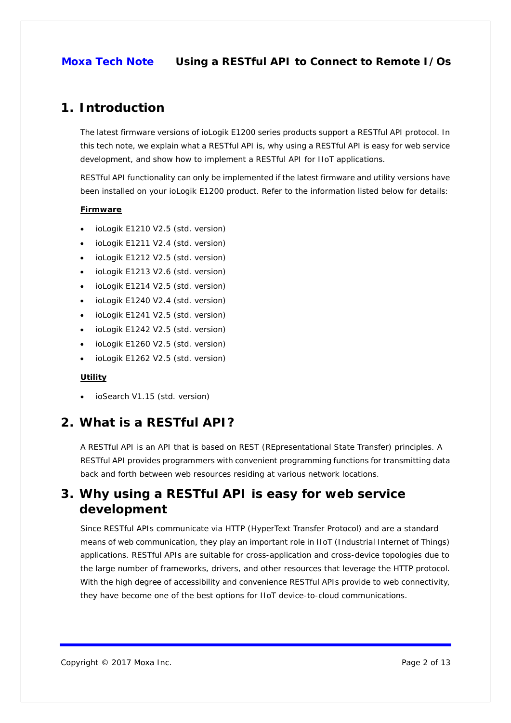### <span id="page-1-0"></span>**1. Introduction**

The latest firmware versions of ioLogik E1200 series products support a RESTful API protocol. In this tech note, we explain what a RESTful API is, why using a RESTful API is easy for web service development, and show how to implement a RESTful API for IIoT applications.

RESTful API functionality can only be implemented if the latest firmware and utility versions have been installed on your ioLogik E1200 product. Refer to the information listed below for details:

#### **Firmware**

- ioLogik E1210 V2.5 (std. version)
- ioLogik E1211 V2.4 (std. version)
- ioLogik E1212 V2.5 (std. version)
- ioLogik E1213 V2.6 (std. version)
- ioLogik E1214 V2.5 (std. version)
- ioLogik E1240 V2.4 (std. version)
- ioLogik E1241 V2.5 (std. version)
- ioLogik E1242 V2.5 (std. version)
- ioLogik E1260 V2.5 (std. version)
- ioLogik E1262 V2.5 (std. version)

#### **Utility**

• ioSearch V1.15 (std. version)

# <span id="page-1-1"></span>**2. What is a RESTful API?**

A RESTful API is an API that is based on REST (REpresentational State Transfer) principles. A RESTful API provides programmers with convenient programming functions for transmitting data back and forth between web resources residing at various network locations.

# <span id="page-1-2"></span>**3. Why using a RESTful API is easy for web service development**

Since RESTful APIs communicate via HTTP (HyperText Transfer Protocol) and are a standard means of web communication, they play an important role in IIoT (Industrial Internet of Things) applications. RESTful APIs are suitable for cross-application and cross-device topologies due to the large number of frameworks, drivers, and other resources that leverage the HTTP protocol. With the high degree of accessibility and convenience RESTful APIs provide to web connectivity, they have become one of the best options for IIoT device-to-cloud communications.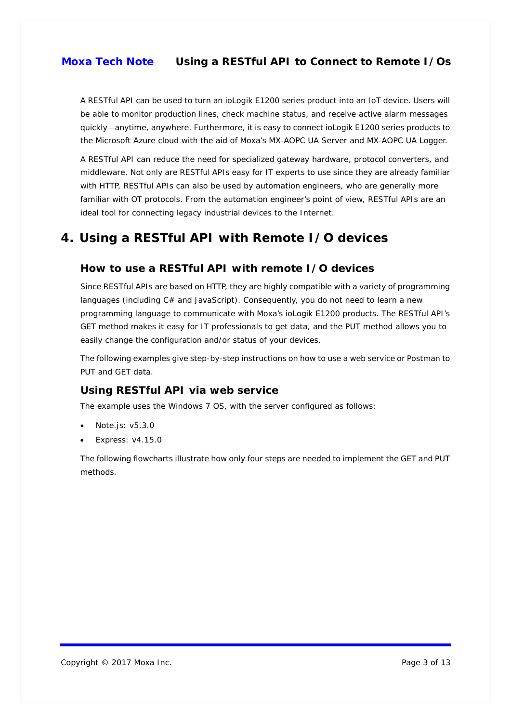A RESTful API can be used to turn an ioLogik E1200 series product into an IoT device. Users will be able to monitor production lines, check machine status, and receive active alarm messages quickly—anytime, anywhere. Furthermore, it is easy to connect ioLogik E1200 series products to the Microsoft Azure cloud with the aid of Moxa's MX-AOPC UA Server and MX-AOPC UA Logger.

A RESTful API can reduce the need for specialized gateway hardware, protocol converters, and middleware. Not only are RESTful APIs easy for IT experts to use since they are already familiar with HTTP, RESTful APIs can also be used by automation engineers, who are generally more familiar with OT protocols. From the automation engineer's point of view, RESTful APIs are an ideal tool for connecting legacy industrial devices to the Internet.

# <span id="page-2-0"></span>**4. Using a RESTful API with Remote I/O devices**

#### <span id="page-2-1"></span>**How to use a RESTful API with remote I/O devices**

Since RESTful APIs are based on HTTP, they are highly compatible with a variety of programming languages (including C# and JavaScript). Consequently, you do not need to learn a new programming language to communicate with Moxa's ioLogik E1200 products. The RESTful API's GET method makes it easy for IT professionals to get data, and the PUT method allows you to easily change the configuration and/or status of your devices.

The following examples give step-by-step instructions on how to use a web service or Postman to PUT and GET data.

#### <span id="page-2-2"></span>**Using RESTful API via web service**

The example uses the Windows 7 OS, with the server configured as follows:

- Note.js: v5.3.0
- Express: v4.15.0

The following flowcharts illustrate how only four steps are needed to implement the GET and PUT methods.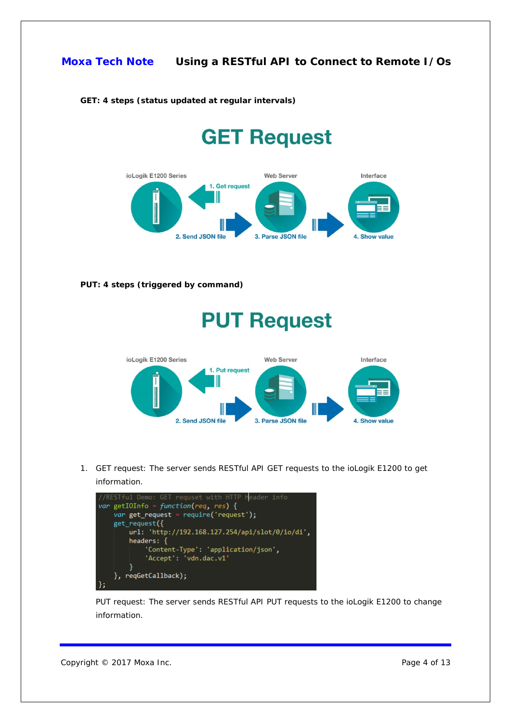

#### **GET: 4 steps (status updated at regular intervals)**

# **GET Request**



**PUT: 4 steps (triggered by command)**

# **PUT Request**



1. GET request: The server sends RESTful API GET requests to the ioLogik E1200 to get information.



PUT request: The server sends RESTful API PUT requests to the ioLogik E1200 to change information.

Copyright © 2017 Moxa Inc. **Page 4 of 13**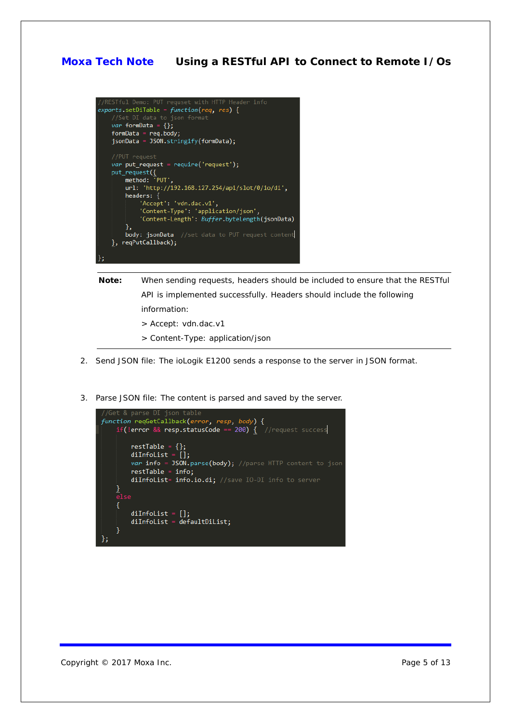

- **Note:** When sending requests, headers should be included to ensure that the RESTful API is implemented successfully. Headers should include the following information:
	- > Accept: vdn.dac.v1
	- > Content-Type: application/json
- 2. Send JSON file: The ioLogik E1200 sends a response to the server in JSON format.
- 3. Parse JSON file: The content is parsed and saved by the server.



Copyright © 2017 Moxa Inc. **Page 5 of 13**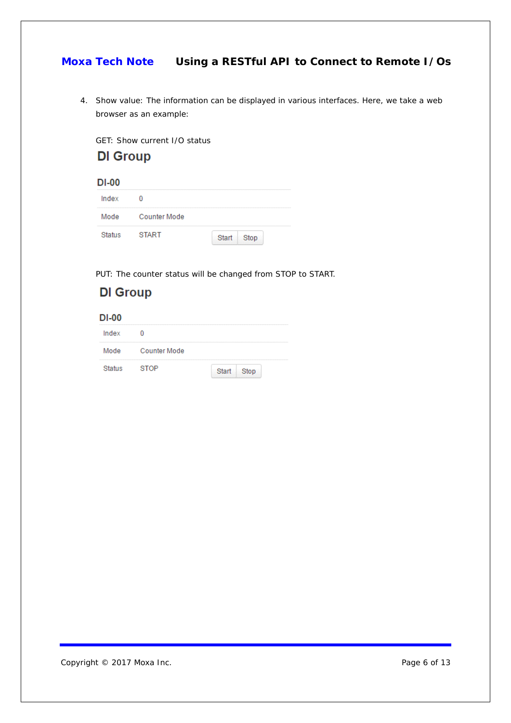4. Show value: The information can be displayed in various interfaces. Here, we take a web browser as an example:

GET: Show current I/O status



| Index  |                     |            |  |
|--------|---------------------|------------|--|
| Mode   | <b>Counter Mode</b> |            |  |
| Status | <b>START</b>        | Start Stop |  |

PUT: The counter status will be changed from STOP to START.

| Group |
|-------|
|-------|

 $DI-00$ 

| Index         |                     |            |  |
|---------------|---------------------|------------|--|
| Mode          | <b>Counter Mode</b> |            |  |
| <b>Status</b> | <b>STOP</b>         | Start Stop |  |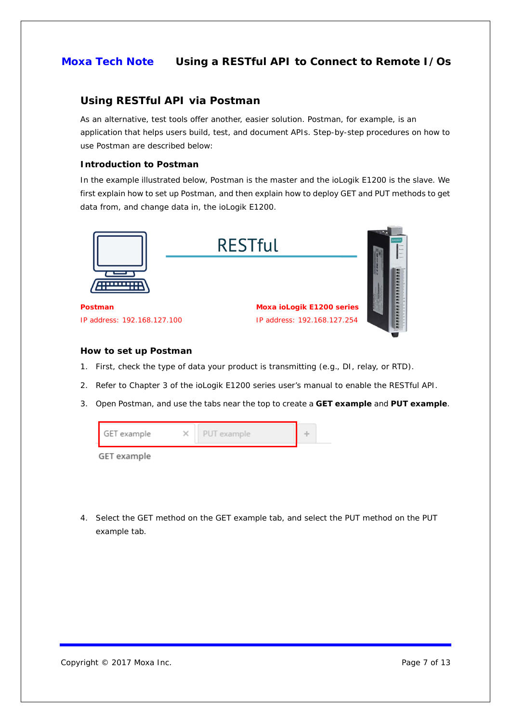#### <span id="page-6-0"></span>**Using RESTful API via Postman**

As an alternative, test tools offer another, easier solution. Postman, for example, is an application that helps users build, test, and document APIs. Step-by-step procedures on how to use Postman are described below:

#### **Introduction to Postman**

In the example illustrated below, Postman is the master and the ioLogik E1200 is the slave. We first explain how to set up Postman, and then explain how to deploy GET and PUT methods to get data from, and change data in, the ioLogik E1200.



IP address: 192.168.127.100

IP address: 192.168.127.254



#### **How to set up Postman**

- 1. First, check the type of data your product is transmitting (e.g., DI, relay, or RTD).
- 2. Refer to Chapter 3 of the ioLogik E1200 series user's manual to enable the RESTful API.
- 3. Open Postman, and use the tabs near the top to create a **GET example** and **PUT example**.



4. Select the GET method on the GET example tab, and select the PUT method on the PUT example tab.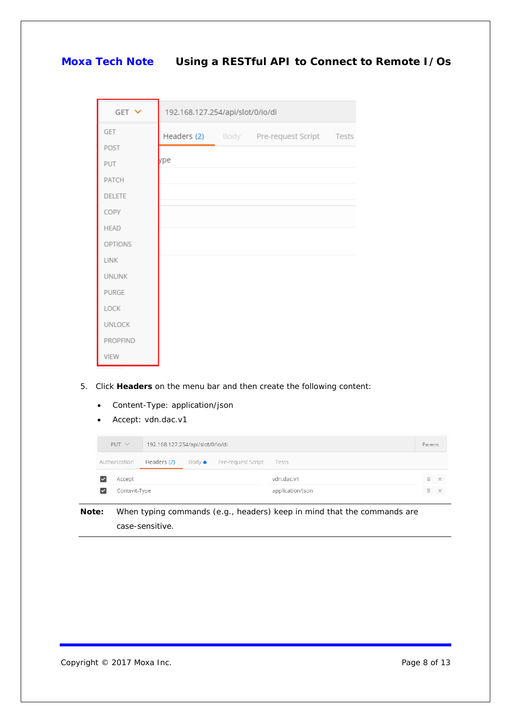| GET Y         | 192.168.127.254/api/slot/0/io/di |  |                                           |  |  |
|---------------|----------------------------------|--|-------------------------------------------|--|--|
| GET           |                                  |  | Headers (2) Body Pre-request Script Tests |  |  |
| POST          |                                  |  |                                           |  |  |
| PUT           | ype                              |  |                                           |  |  |
| PATCH         |                                  |  |                                           |  |  |
| <b>DELETE</b> |                                  |  |                                           |  |  |
| COPY          |                                  |  |                                           |  |  |
| <b>HEAD</b>   |                                  |  |                                           |  |  |
| OPTIONS       |                                  |  |                                           |  |  |
| LINK          |                                  |  |                                           |  |  |
| <b>UNLINK</b> |                                  |  |                                           |  |  |
| PURGE         |                                  |  |                                           |  |  |
| LOCK          |                                  |  |                                           |  |  |
| UNLOCK        |                                  |  |                                           |  |  |
| PROPFIND      |                                  |  |                                           |  |  |
| VIEW          |                                  |  |                                           |  |  |

- 5. Click **Headers** on the menu bar and then create the following content:
	- Content-Type: application/json
	- Accept: vdn.dac.v1

| $PUT \vee$    | 192.168.127.254/api/slot/0/io/di |  |                                 |                  | Params |   |           |
|---------------|----------------------------------|--|---------------------------------|------------------|--------|---|-----------|
| Authorization | Headers (2)                      |  | Body • Pre-request Script Tests |                  |        |   |           |
| Accept        |                                  |  |                                 | vdn.dac.v1       |        | Ξ | $\times$  |
| Content-Type  |                                  |  |                                 | application/json |        | Ξ | $\propto$ |

**Note:** When typing commands (e.g., headers) keep in mind that the commands are case-sensitive.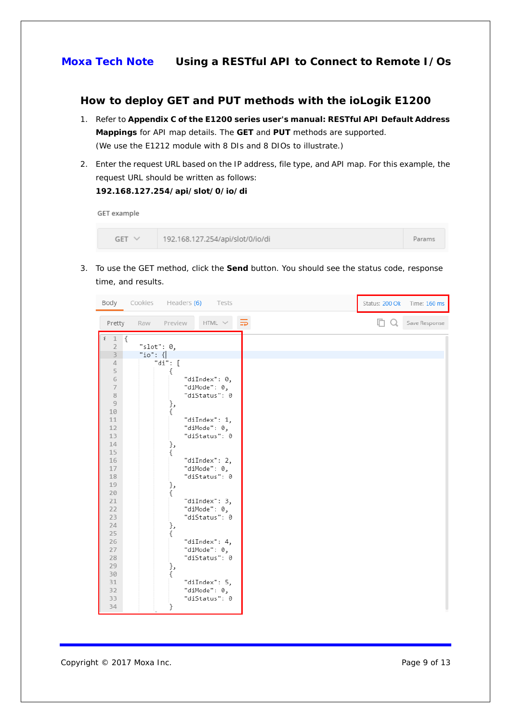#### <span id="page-8-0"></span>**How to deploy GET and PUT methods with the ioLogik E1200**

- 1. Refer to **Appendix C of the E1200 series user's manual: RESTful API Default Address Mappings** for API map details. The **GET** and **PUT** methods are supported. (We use the E1212 module with 8 DIs and 8 DIOs to illustrate.)
- 2. Enter the request URL based on the IP address, file type, and API map. For this example, the request URL should be written as follows:

# **192.168.127.254/api/slot/0/io/di**

**GET** example

| $GET \vee$ | 192.168.127.254/api/slot/0/io/di | Params |
|------------|----------------------------------|--------|
|------------|----------------------------------|--------|

3. To use the GET method, click the **Send** button. You should see the status code, response time, and results.

|                                        | Body Cookies Headers (6) Tests                 |     | Status: 200 Ok Time: 160 ms |
|----------------------------------------|------------------------------------------------|-----|-----------------------------|
| Pretty                                 | HTML $\times$ $\overline{=}$<br>Raw<br>Preview | □ Q | Save Response               |
| $i \quad 1 \quad \{$<br>$\overline{2}$ | "slot": $\theta$ ,                             |     |                             |
| $\overline{3}$                         | "io": $\{$                                     |     |                             |
| $\varDelta$                            | "di": [                                        |     |                             |
| 5                                      |                                                |     |                             |
| 6                                      | "diIndex": 0,                                  |     |                             |
| $\overline{\phantom{a}}$               | "diMode": 0,                                   |     |                             |
| $\,$ 8                                 | "diStatus": 0                                  |     |                             |
| $\overline{9}$                         | },                                             |     |                             |
| 10                                     | ſ                                              |     |                             |
| 11                                     | "diIndex": 1,                                  |     |                             |
| 12                                     | "diMode": 0,                                   |     |                             |
| 13                                     | "diStatus": 0                                  |     |                             |
| 14                                     | },                                             |     |                             |
| 15                                     | €                                              |     |                             |
| 16                                     | "diIndex": 2,                                  |     |                             |
| 17                                     | "diMode": 0,                                   |     |                             |
| 18                                     | "diStatus": 0                                  |     |                             |
| 19                                     | },                                             |     |                             |
| 20                                     | €                                              |     |                             |
| 21<br>22                               | "diIndex": 3,                                  |     |                             |
| 23                                     | "diMode": 0,<br>"diStatus": 0                  |     |                             |
| 24                                     |                                                |     |                             |
| 25                                     | },<br>€                                        |     |                             |
| 26                                     | "diIndex": 4,                                  |     |                             |
| 27                                     | "diMode": 0,                                   |     |                             |
| 28                                     | "diStatus": 0                                  |     |                             |
| 29                                     | },                                             |     |                             |
| 30                                     | ſ                                              |     |                             |
| 31                                     | "diIndex": 5,                                  |     |                             |
| 32                                     | "diMode": 0,                                   |     |                             |
| 33                                     | "diStatus": 0                                  |     |                             |
| 34                                     | }                                              |     |                             |
|                                        |                                                |     |                             |

Copyright © 2017 Moxa Inc. Copyright © 2017 Moxa Inc.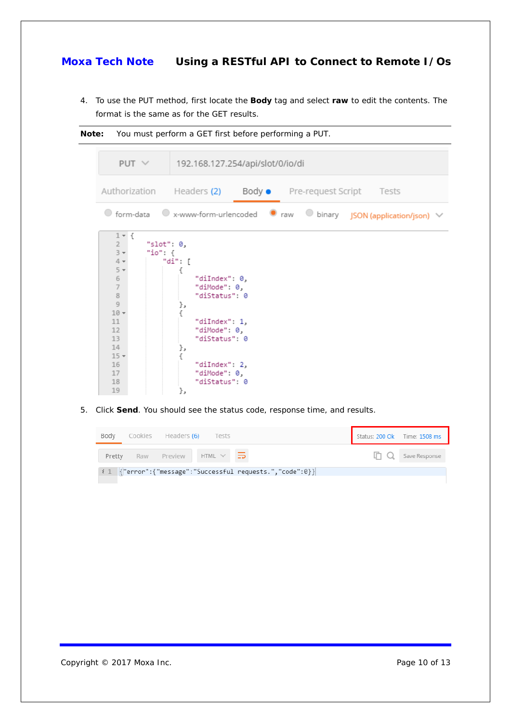4. To use the PUT method, first locate the **Body** tag and select **raw** to edit the contents. The format is the same as for the GET results.



5. Click **Send**. You should see the status code, response time, and results.

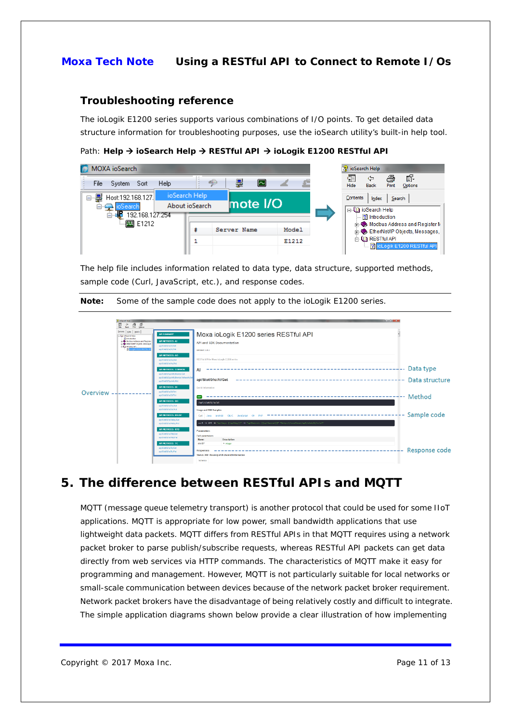#### <span id="page-10-0"></span>**Troubleshooting reference**

The ioLogik E1200 series supports various combinations of I/O points. To get detailed data structure information for troubleshooting purposes, use the ioSearch utility's built-in help tool.

Path: Help → ioSearch Help → RESTful API → ioLogik E1200 RESTful API

| MOXA ioSearch                                                             |                                 |                    | ioSearch Help                                                                                                   |
|---------------------------------------------------------------------------|---------------------------------|--------------------|-----------------------------------------------------------------------------------------------------------------|
| Help<br>File<br>- Sort<br>System                                          |                                 | ∣∼                 | Ũ.<br>匯<br>a<br>⇦<br>Hide<br>Print<br><b>Back</b><br>Options                                                    |
| Host:192.168.127.<br>8-9<br><b>⊟-∈N</b> ioSearch<br>192.168.127.254<br>Ėŀ | ioSearch Help<br>About ioSearch | $ $ mote $ $ / $ $ | Contents<br>Search<br>Index<br>⊟-QD ioSearch Help<br>$\boxed{?}$ Introduction                                   |
|                                                                           | Server Name                     | Model              | <b>Holland</b> Modbus Address and Register M<br>Fine EtherNet/IP Objects, Messages,<br><b>A</b> (C) RESTful API |
|                                                                           |                                 | E1212              | 2 ioLogik E1200 RESTful API                                                                                     |

The help file includes information related to data type, data structure, supported methods, sample code (Curl, JavaScript, etc.), and response codes.

|  | Note: Some of the sample code does not apply to the ioLogik E1200 series. |  |  |  |
|--|---------------------------------------------------------------------------|--|--|--|
|--|---------------------------------------------------------------------------|--|--|--|



# <span id="page-10-1"></span>**5. The difference between RESTful APIs and MQTT**

MQTT (message queue telemetry transport) is another protocol that could be used for some IIoT applications. MQTT is appropriate for low power, small bandwidth applications that use lightweight data packets. MQTT differs from RESTful APIs in that MQTT requires using a network packet broker to parse publish/subscribe requests, whereas RESTful API packets can get data directly from web services via HTTP commands. The characteristics of MQTT make it easy for programming and management. However, MQTT is not particularly suitable for local networks or small-scale communication between devices because of the network packet broker requirement. Network packet brokers have the disadvantage of being relatively costly and difficult to integrate. The simple application diagrams shown below provide a clear illustration of how implementing

Copyright © 2017 Moxa Inc. Page 11 of 13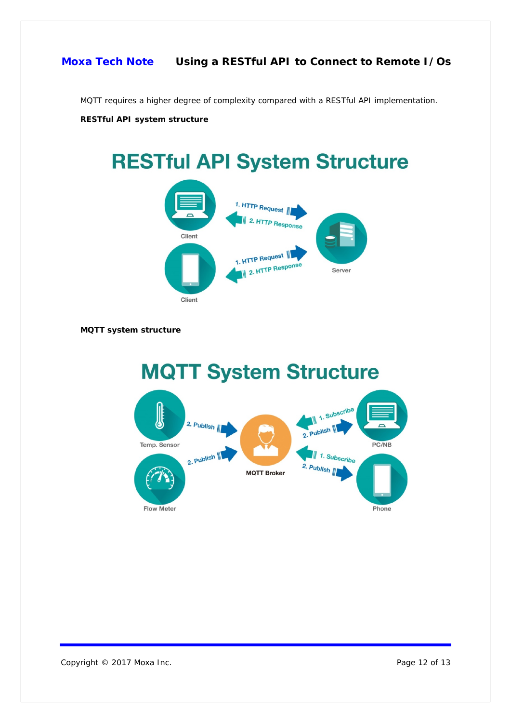MQTT requires a higher degree of complexity compared with a RESTful API implementation.

**RESTful API system structure**

# **RESTful API System Structure** 1. HTTP Request **HTTP Response** Client 1. HTTP Request 2. HTTP Respons Server Client

#### **MQTT system structure**



Copyright © 2017 Moxa Inc. extended the control of 13 Page 12 of 13